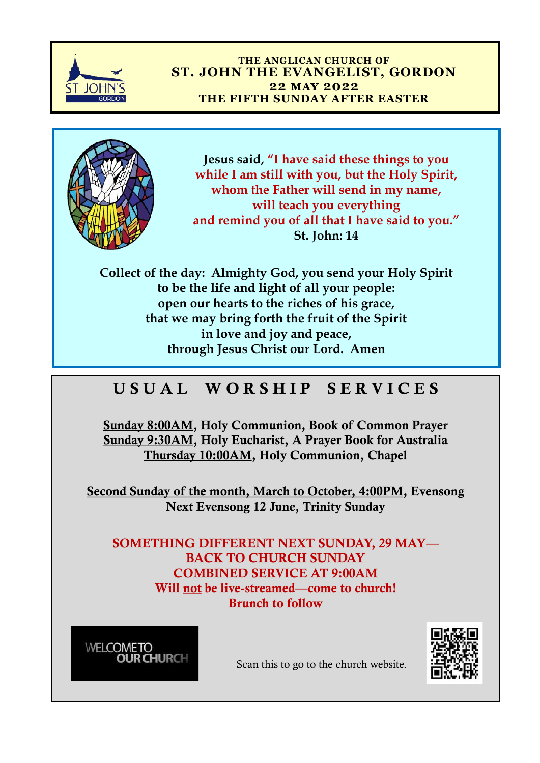

## **THE ANGLICAN CHURCH OF ST. JOHN THE EVANGELIST, GORDON 22 may 2022 THE FIFTH SUNDAY AFTER EASTER**



**Jesus said, "I have said these things to you while I am still with you, but the Holy Spirit, whom the Father will send in my name, will teach you everything and remind you of all that I have said to you." St. John: 14** 

**Collect of the day: Almighty God, you send your Holy Spirit to be the life and light of all your people: open our hearts to the riches of his grace, that we may bring forth the fruit of the Spirit in love and joy and peace, through Jesus Christ our Lord. Amen** 

## USUAL WORSHIP SERVICES

Sunday 8:00AM, Holy Communion, Book of Common Prayer Sunday 9:30AM, Holy Eucharist, A Prayer Book for Australia Thursday 10:00AM, Holy Communion, Chapel

Second Sunday of the month, March to October, 4:00PM, Evensong Next Evensong 12 June, Trinity Sunday

SOMETHING DIFFERENT NEXT SUNDAY, 29 MAY— BACK TO CHURCH SUNDAY COMBINED SERVICE AT 9:00AM Will not be live-streamed—come to church! Brunch to follow





Scan this to go to the church website.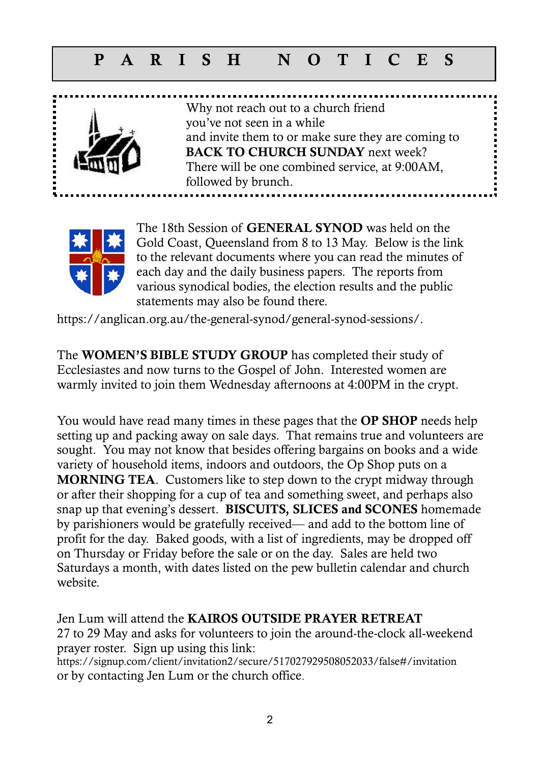## P A R I S H N O T I C E S



Why not reach out to a church friend you've not seen in a while and invite them to or make sure they are coming to BACK TO CHURCH SUNDAY next week? There will be one combined service, at 9:00AM, followed by brunch.



The 18th Session of GENERAL SYNOD was held on the Gold Coast, Queensland from 8 to 13 May. Below is the link to the relevant documents where you can read the minutes of each day and the daily business papers. The reports from various synodical bodies, the election results and the public statements may also be found there.

https://anglican.org.au/the-general-synod/general-synod-sessions/.

The WOMEN'S BIBLE STUDY GROUP has completed their study of Ecclesiastes and now turns to the Gospel of John. Interested women are warmly invited to join them Wednesday afternoons at 4:00PM in the crypt.

You would have read many times in these pages that the OP SHOP needs help setting up and packing away on sale days. That remains true and volunteers are sought. You may not know that besides offering bargains on books and a wide variety of household items, indoors and outdoors, the Op Shop puts on a MORNING TEA. Customers like to step down to the crypt midway through or after their shopping for a cup of tea and something sweet, and perhaps also snap up that evening's dessert. BISCUITS, SLICES and SCONES homemade by parishioners would be gratefully received— and add to the bottom line of profit for the day. Baked goods, with a list of ingredients, may be dropped off on Thursday or Friday before the sale or on the day. Sales are held two Saturdays a month, with dates listed on the pew bulletin calendar and church website.

Jen Lum will attend the KAIROS OUTSIDE PRAYER RETREAT 27 to 29 May and asks for volunteers to join the around-the-clock all-weekend prayer roster. Sign up using this link: <https://signup.com/client/invitation2/secure/517027929508052033/false#/invitation> or by contacting Jen Lum or the church office.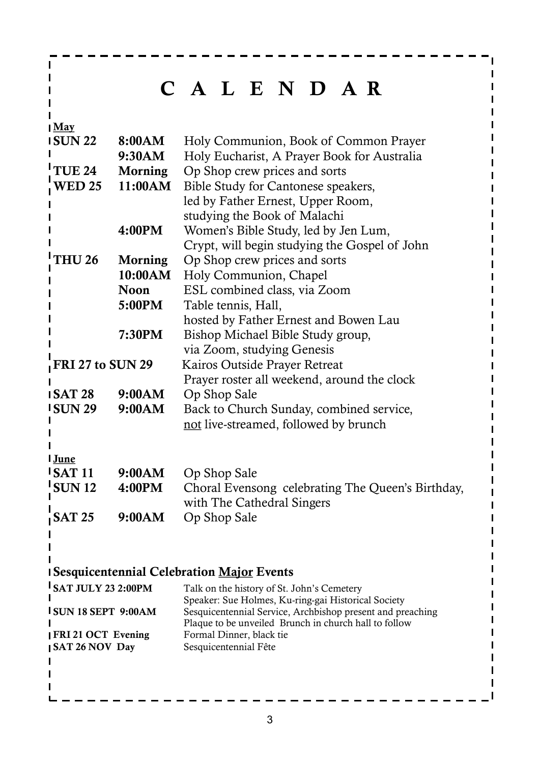## C A L E N D A R

 $\frac{1}{2}$  May

 $\mathbf{I}$  $\mathbf{I}$ Т п П

 $\blacksquare$  $\mathbf{I}$ 

| <b>ISUN22</b>                             | 8:00AM      | Holy Communion, Book of Common Prayer                                                                               |
|-------------------------------------------|-------------|---------------------------------------------------------------------------------------------------------------------|
|                                           | 9:30AM      | Holy Eucharist, A Prayer Book for Australia                                                                         |
| TUE 24                                    | Morning     | Op Shop crew prices and sorts                                                                                       |
| <b>WED 25</b>                             | 11:00AM     | Bible Study for Cantonese speakers,                                                                                 |
|                                           |             | led by Father Ernest, Upper Room,                                                                                   |
|                                           |             | studying the Book of Malachi                                                                                        |
|                                           | 4:00PM      | Women's Bible Study, led by Jen Lum,                                                                                |
|                                           |             | Crypt, will begin studying the Gospel of John                                                                       |
| <b>THU 26</b>                             | Morning     | Op Shop crew prices and sorts                                                                                       |
|                                           | 10:00AM     | Holy Communion, Chapel                                                                                              |
|                                           | <b>Noon</b> | ESL combined class, via Zoom                                                                                        |
|                                           | 5:00PM      | Table tennis, Hall,                                                                                                 |
|                                           |             | hosted by Father Ernest and Bowen Lau                                                                               |
|                                           | 7:30PM      | Bishop Michael Bible Study group,                                                                                   |
|                                           |             | via Zoom, studying Genesis                                                                                          |
| $\overline{\phantom{a}}$ FRI 27 to SUN 29 |             | Kairos Outside Prayer Retreat                                                                                       |
|                                           |             | Prayer roster all weekend, around the clock                                                                         |
| <b>ISAT 28</b>                            | 9:00AM      | Op Shop Sale                                                                                                        |
| <b>ISUN 29</b>                            | 9:00AM      | Back to Church Sunday, combined service,                                                                            |
|                                           |             | not live-streamed, followed by brunch                                                                               |
|                                           |             |                                                                                                                     |
| I June                                    |             |                                                                                                                     |
| <b>ISAT11</b>                             | 9:00AM      | Op Shop Sale                                                                                                        |
| <b>SUN12</b>                              | 4:00PM      | Choral Evensong celebrating The Queen's Birthday,                                                                   |
|                                           |             | with The Cathedral Singers                                                                                          |
| <b>SAT 25</b>                             | 9:00AM      | Op Shop Sale                                                                                                        |
|                                           |             |                                                                                                                     |
|                                           |             |                                                                                                                     |
|                                           |             |                                                                                                                     |
|                                           |             | <b>I Sesquicentennial Celebration Major Events</b>                                                                  |
| <b>SAT JULY 23 2:00PM</b>                 |             | Talk on the history of St. John's Cemetery                                                                          |
|                                           |             | Speaker: Sue Holmes, Ku-ring-gai Historical Society                                                                 |
| <b>ISUN 18 SEPT 9:00AM</b>                |             | Sesquicentennial Service, Archbishop present and preaching<br>Plaque to be unveiled Brunch in church hall to follow |
| <b>IFRI21 OCT Evening</b>                 |             | Formal Dinner, black tie                                                                                            |
| <b>SAT 26 NOV Day</b>                     |             | Sesquicentennial Fête                                                                                               |